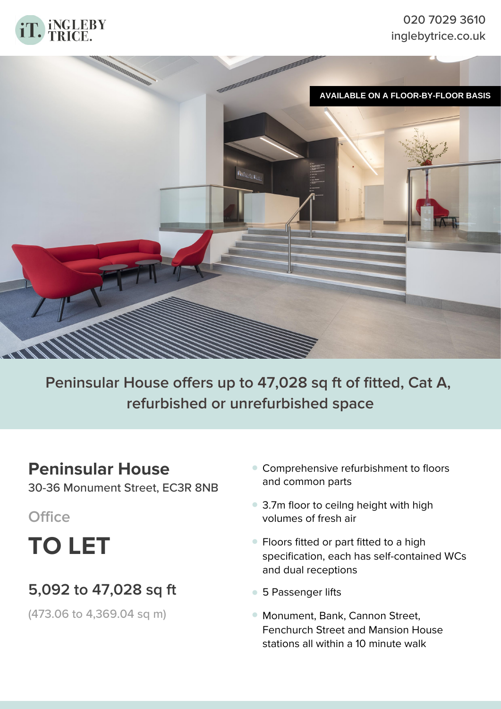

### 020 7029 3610 inglebytrice.co.uk



# **Peninsular House offers up to 47,028 sq ft of fitted, Cat A, refurbished or unrefurbished space**

### **Peninsular House**

30-36 Monument Street, EC3R 8NB

**Office**

**TO LET**

## **5,092 to 47,028 sq ft**

(473.06 to 4,369.04 sq m)

- Comprehensive refurbishment to floors **•** and common parts
- 3.7m floor to ceilng height with high **•** volumes of fresh air
- Floors fitted or part fitted to a high **•** specification, each has self-contained WCs and dual receptions
- **•** 5 Passenger lifts
- Monument, Bank, Cannon Street, **•**Fenchurch Street and Mansion House stations all within a 10 minute walk